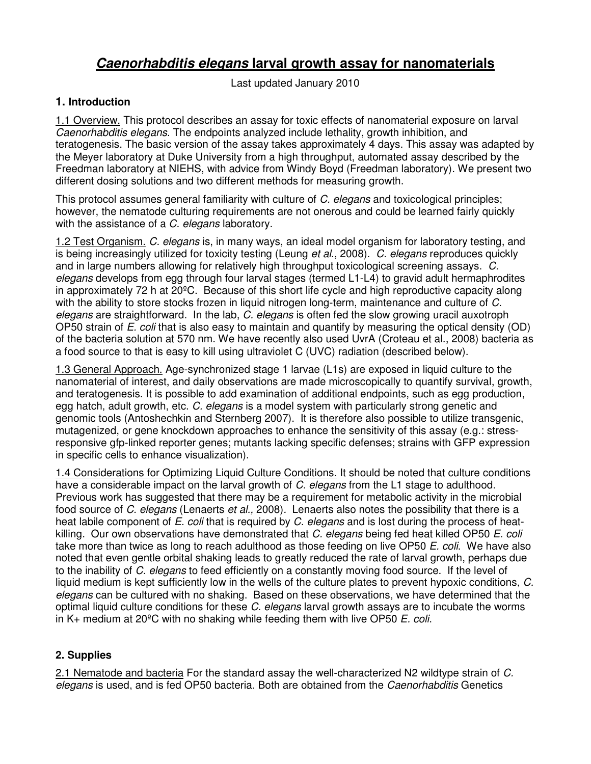## **Caenorhabditis elegans larval growth assay for nanomaterials**

Last updated January 2010

## **1. Introduction**

1.1 Overview. This protocol describes an assay for toxic effects of nanomaterial exposure on larval Caenorhabditis elegans. The endpoints analyzed include lethality, growth inhibition, and teratogenesis. The basic version of the assay takes approximately 4 days. This assay was adapted by the Meyer laboratory at Duke University from a high throughput, automated assay described by the Freedman laboratory at NIEHS, with advice from Windy Boyd (Freedman laboratory). We present two different dosing solutions and two different methods for measuring growth.

This protocol assumes general familiarity with culture of C. elegans and toxicological principles; however, the nematode culturing requirements are not onerous and could be learned fairly quickly with the assistance of a C. elegans laboratory.

1.2 Test Organism. C. elegans is, in many ways, an ideal model organism for laboratory testing, and is being increasingly utilized for toxicity testing (Leung et al., 2008). C. elegans reproduces quickly and in large numbers allowing for relatively high throughput toxicological screening assays. C. elegans develops from egg through four larval stages (termed L1-L4) to gravid adult hermaphrodites in approximately 72 h at 20ºC. Because of this short life cycle and high reproductive capacity along with the ability to store stocks frozen in liquid nitrogen long-term, maintenance and culture of C. elegans are straightforward. In the lab, C. elegans is often fed the slow growing uracil auxotroph OP50 strain of  $E$ . coli that is also easy to maintain and quantify by measuring the optical density (OD) of the bacteria solution at 570 nm. We have recently also used UvrA (Croteau et al., 2008) bacteria as a food source to that is easy to kill using ultraviolet C (UVC) radiation (described below).

1.3 General Approach. Age-synchronized stage 1 larvae (L1s) are exposed in liquid culture to the nanomaterial of interest, and daily observations are made microscopically to quantify survival, growth, and teratogenesis. It is possible to add examination of additional endpoints, such as egg production, egg hatch, adult growth, etc. C. elegans is a model system with particularly strong genetic and genomic tools (Antoshechkin and Sternberg 2007). It is therefore also possible to utilize transgenic, mutagenized, or gene knockdown approaches to enhance the sensitivity of this assay (e.g.: stressresponsive gfp-linked reporter genes; mutants lacking specific defenses; strains with GFP expression in specific cells to enhance visualization).

1.4 Considerations for Optimizing Liquid Culture Conditions. It should be noted that culture conditions have a considerable impact on the larval growth of C. elegans from the L1 stage to adulthood. Previous work has suggested that there may be a requirement for metabolic activity in the microbial food source of C. elegans (Lenaerts et al., 2008). Lenaerts also notes the possibility that there is a heat labile component of E. coli that is required by C. elegans and is lost during the process of heatkilling. Our own observations have demonstrated that C. elegans being fed heat killed OP50 E. coli take more than twice as long to reach adulthood as those feeding on live OP50 E. coli. We have also noted that even gentle orbital shaking leads to greatly reduced the rate of larval growth, perhaps due to the inability of C. elegans to feed efficiently on a constantly moving food source. If the level of liquid medium is kept sufficiently low in the wells of the culture plates to prevent hypoxic conditions, C. elegans can be cultured with no shaking. Based on these observations, we have determined that the optimal liquid culture conditions for these C. elegans larval growth assays are to incubate the worms in K $+$  medium at 20 $^{\circ}$ C with no shaking while feeding them with live OP50 E. coli.

## **2. Supplies**

2.1 Nematode and bacteria For the standard assay the well-characterized N2 wildtype strain of C. elegans is used, and is fed OP50 bacteria. Both are obtained from the *Caenorhabditis* Genetics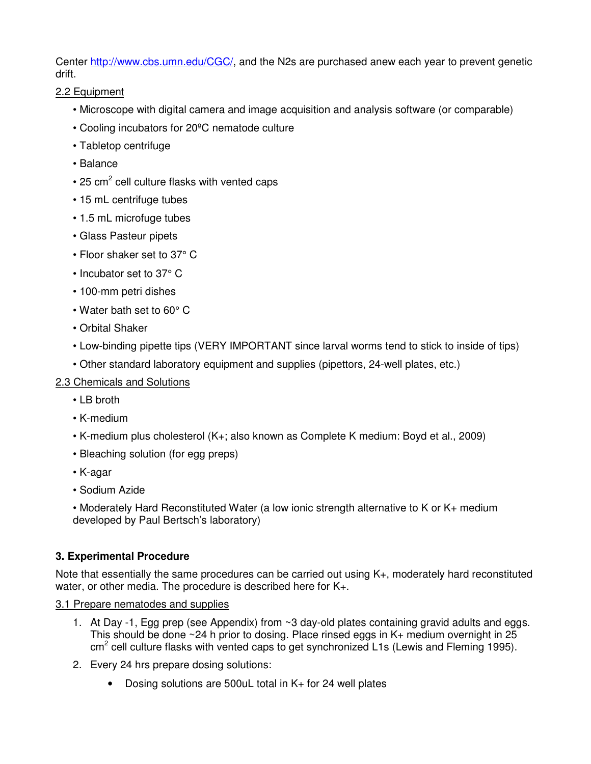Center http://www.cbs.umn.edu/CGC/, and the N2s are purchased anew each year to prevent genetic drift.

2.2 Equipment

- Microscope with digital camera and image acquisition and analysis software (or comparable)
- Cooling incubators for 20ºC nematode culture
- Tabletop centrifuge
- Balance
- $\cdot$  25 cm<sup>2</sup> cell culture flasks with vented caps
- 15 mL centrifuge tubes
- 1.5 mL microfuge tubes
- Glass Pasteur pipets
- Floor shaker set to 37° C
- Incubator set to 37° C
- 100-mm petri dishes
- Water bath set to 60° C
- Orbital Shaker
- Low-binding pipette tips (VERY IMPORTANT since larval worms tend to stick to inside of tips)
- Other standard laboratory equipment and supplies (pipettors, 24-well plates, etc.)
- 2.3 Chemicals and Solutions
	- LB broth
	- K-medium
	- K-medium plus cholesterol (K+; also known as Complete K medium: Boyd et al., 2009)
	- Bleaching solution (for egg preps)
	- K-agar
	- Sodium Azide
	- Moderately Hard Reconstituted Water (a low ionic strength alternative to K or K+ medium developed by Paul Bertsch's laboratory)

## **3. Experimental Procedure**

Note that essentially the same procedures can be carried out using K+, moderately hard reconstituted water, or other media. The procedure is described here for K+.

## 3.1 Prepare nematodes and supplies

- 1. At Day -1, Egg prep (see Appendix) from ~3 day-old plates containing gravid adults and eggs. This should be done  $\sim$  24 h prior to dosing. Place rinsed eggs in K+ medium overnight in 25 cm<sup>2</sup> cell culture flasks with vented caps to get synchronized L1s (Lewis and Fleming 1995).
- 2. Every 24 hrs prepare dosing solutions:
	- Dosing solutions are 500uL total in K+ for 24 well plates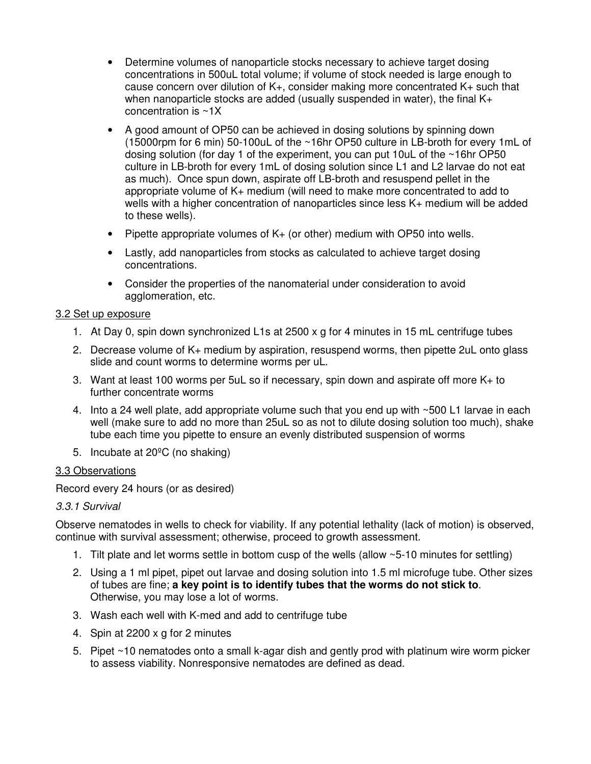- Determine volumes of nanoparticle stocks necessary to achieve target dosing concentrations in 500uL total volume; if volume of stock needed is large enough to cause concern over dilution of K+, consider making more concentrated K+ such that when nanoparticle stocks are added (usually suspended in water), the final K+ concentration is ~1X
- A good amount of OP50 can be achieved in dosing solutions by spinning down (15000rpm for 6 min) 50-100uL of the ~16hr OP50 culture in LB-broth for every 1mL of dosing solution (for day 1 of the experiment, you can put 10uL of the ~16hr OP50 culture in LB-broth for every 1mL of dosing solution since L1 and L2 larvae do not eat as much). Once spun down, aspirate off LB-broth and resuspend pellet in the appropriate volume of K+ medium (will need to make more concentrated to add to wells with a higher concentration of nanoparticles since less K+ medium will be added to these wells).
- Pipette appropriate volumes of K+ (or other) medium with OP50 into wells.
- Lastly, add nanoparticles from stocks as calculated to achieve target dosing concentrations.
- Consider the properties of the nanomaterial under consideration to avoid agglomeration, etc.

## 3.2 Set up exposure

- 1. At Day 0, spin down synchronized L1s at 2500 x g for 4 minutes in 15 mL centrifuge tubes
- 2. Decrease volume of K+ medium by aspiration, resuspend worms, then pipette 2uL onto glass slide and count worms to determine worms per uL.
- 3. Want at least 100 worms per 5uL so if necessary, spin down and aspirate off more K+ to further concentrate worms
- 4. Into a 24 well plate, add appropriate volume such that you end up with ~500 L1 larvae in each well (make sure to add no more than 25uL so as not to dilute dosing solution too much), shake tube each time you pipette to ensure an evenly distributed suspension of worms
- 5. Incubate at 20ºC (no shaking)

### 3.3 Observations

Record every 24 hours (or as desired)

### 3.3.1 Survival

Observe nematodes in wells to check for viability. If any potential lethality (lack of motion) is observed, continue with survival assessment; otherwise, proceed to growth assessment.

- 1. Tilt plate and let worms settle in bottom cusp of the wells (allow ~5-10 minutes for settling)
- 2. Using a 1 ml pipet, pipet out larvae and dosing solution into 1.5 ml microfuge tube. Other sizes of tubes are fine; **a key point is to identify tubes that the worms do not stick to**. Otherwise, you may lose a lot of worms.
- 3. Wash each well with K-med and add to centrifuge tube
- 4. Spin at 2200 x g for 2 minutes
- 5. Pipet ~10 nematodes onto a small k-agar dish and gently prod with platinum wire worm picker to assess viability. Nonresponsive nematodes are defined as dead.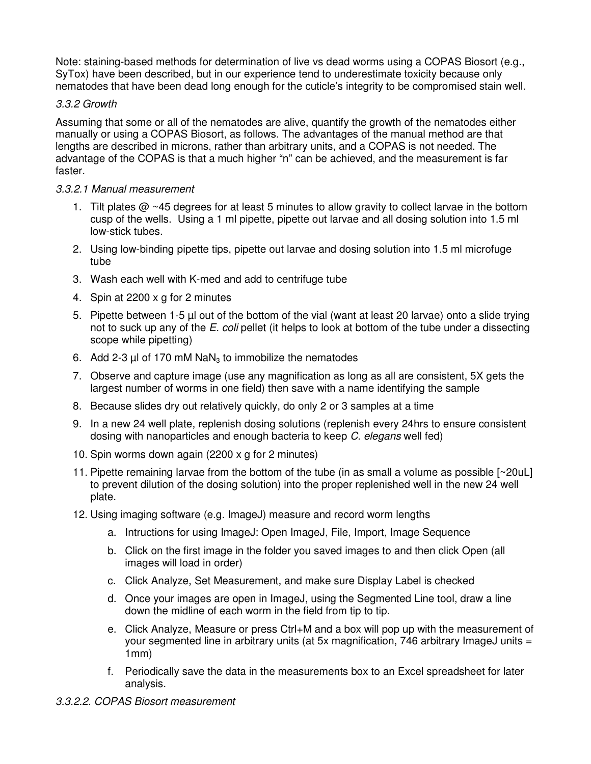Note: staining-based methods for determination of live vs dead worms using a COPAS Biosort (e.g., SyTox) have been described, but in our experience tend to underestimate toxicity because only nematodes that have been dead long enough for the cuticle's integrity to be compromised stain well.

## 3.3.2 Growth

Assuming that some or all of the nematodes are alive, quantify the growth of the nematodes either manually or using a COPAS Biosort, as follows. The advantages of the manual method are that lengths are described in microns, rather than arbitrary units, and a COPAS is not needed. The advantage of the COPAS is that a much higher "n" can be achieved, and the measurement is far faster.

## 3.3.2.1 Manual measurement

- 1. Tilt plates @ ~45 degrees for at least 5 minutes to allow gravity to collect larvae in the bottom cusp of the wells. Using a 1 ml pipette, pipette out larvae and all dosing solution into 1.5 ml low-stick tubes.
- 2. Using low-binding pipette tips, pipette out larvae and dosing solution into 1.5 ml microfuge tube
- 3. Wash each well with K-med and add to centrifuge tube
- 4. Spin at 2200 x g for 2 minutes
- 5. Pipette between 1-5 µl out of the bottom of the vial (want at least 20 larvae) onto a slide trying not to suck up any of the E. coli pellet (it helps to look at bottom of the tube under a dissecting scope while pipetting)
- 6. Add 2-3  $\mu$ l of 170 mM NaN<sub>3</sub> to immobilize the nematodes
- 7. Observe and capture image (use any magnification as long as all are consistent, 5X gets the largest number of worms in one field) then save with a name identifying the sample
- 8. Because slides dry out relatively quickly, do only 2 or 3 samples at a time
- 9. In a new 24 well plate, replenish dosing solutions (replenish every 24hrs to ensure consistent dosing with nanoparticles and enough bacteria to keep C. elegans well fed)
- 10. Spin worms down again (2200 x g for 2 minutes)
- 11. Pipette remaining larvae from the bottom of the tube (in as small a volume as possible [~20uL] to prevent dilution of the dosing solution) into the proper replenished well in the new 24 well plate.
- 12. Using imaging software (e.g. ImageJ) measure and record worm lengths
	- a. Intructions for using ImageJ: Open ImageJ, File, Import, Image Sequence
	- b. Click on the first image in the folder you saved images to and then click Open (all images will load in order)
	- c. Click Analyze, Set Measurement, and make sure Display Label is checked
	- d. Once your images are open in ImageJ, using the Segmented Line tool, draw a line down the midline of each worm in the field from tip to tip.
	- e. Click Analyze, Measure or press Ctrl+M and a box will pop up with the measurement of your segmented line in arbitrary units (at 5x magnification, 746 arbitrary ImageJ units  $=$ 1mm)
	- f. Periodically save the data in the measurements box to an Excel spreadsheet for later analysis.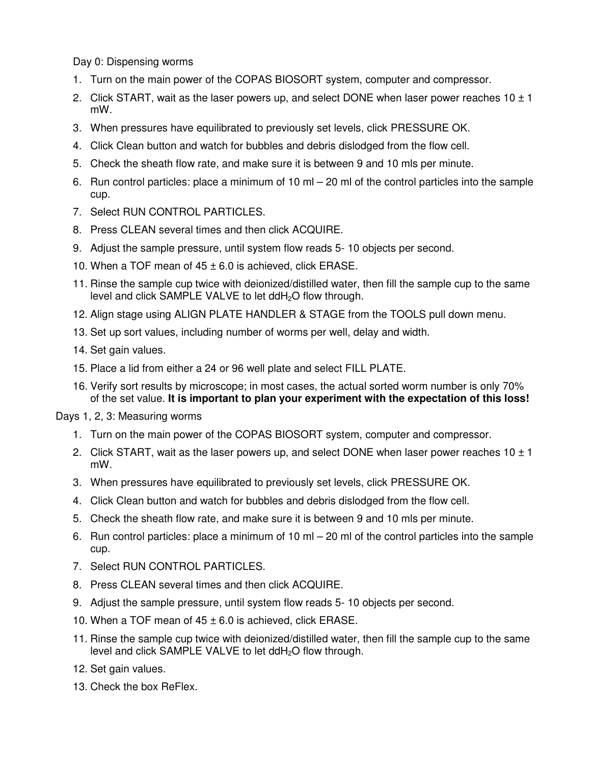Day 0: Dispensing worms

- 1. Turn on the main power of the COPAS BIOSORT system, computer and compressor.
- 2. Click START, wait as the laser powers up, and select DONE when laser power reaches  $10 \pm 1$ mW.
- 3. When pressures have equilibrated to previously set levels, click PRESSURE OK.
- 4. Click Clean button and watch for bubbles and debris dislodged from the flow cell.
- 5. Check the sheath flow rate, and make sure it is between 9 and 10 mls per minute.
- 6. Run control particles: place a minimum of 10 ml 20 ml of the control particles into the sample cup.
- 7. Select RUN CONTROL PARTICLES.
- 8. Press CLEAN several times and then click ACQUIRE.
- 9. Adjust the sample pressure, until system flow reads 5- 10 objects per second.
- 10. When a TOF mean of  $45 \pm 6.0$  is achieved, click ERASE.
- 11. Rinse the sample cup twice with deionized/distilled water, then fill the sample cup to the same level and click SAMPLE VALVE to let ddH<sub>2</sub>O flow through.
- 12. Align stage using ALIGN PLATE HANDLER & STAGE from the TOOLS pull down menu.
- 13. Set up sort values, including number of worms per well, delay and width.
- 14. Set gain values.
- 15. Place a lid from either a 24 or 96 well plate and select FILL PLATE.
- 16. Verify sort results by microscope; in most cases, the actual sorted worm number is only 70% of the set value. **It is important to plan your experiment with the expectation of this loss!**

Days 1, 2, 3: Measuring worms

- 1. Turn on the main power of the COPAS BIOSORT system, computer and compressor.
- 2. Click START, wait as the laser powers up, and select DONE when laser power reaches  $10 \pm 1$ mW.
- 3. When pressures have equilibrated to previously set levels, click PRESSURE OK.
- 4. Click Clean button and watch for bubbles and debris dislodged from the flow cell.
- 5. Check the sheath flow rate, and make sure it is between 9 and 10 mls per minute.
- 6. Run control particles: place a minimum of 10 ml 20 ml of the control particles into the sample cup.
- 7. Select RUN CONTROL PARTICLES.
- 8. Press CLEAN several times and then click ACQUIRE.
- 9. Adjust the sample pressure, until system flow reads 5- 10 objects per second.
- 10. When a TOF mean of  $45 \pm 6.0$  is achieved, click ERASE.
- 11. Rinse the sample cup twice with deionized/distilled water, then fill the sample cup to the same level and click SAMPLE VALVE to let ddH<sub>2</sub>O flow through.
- 12. Set gain values.
- 13. Check the box ReFlex.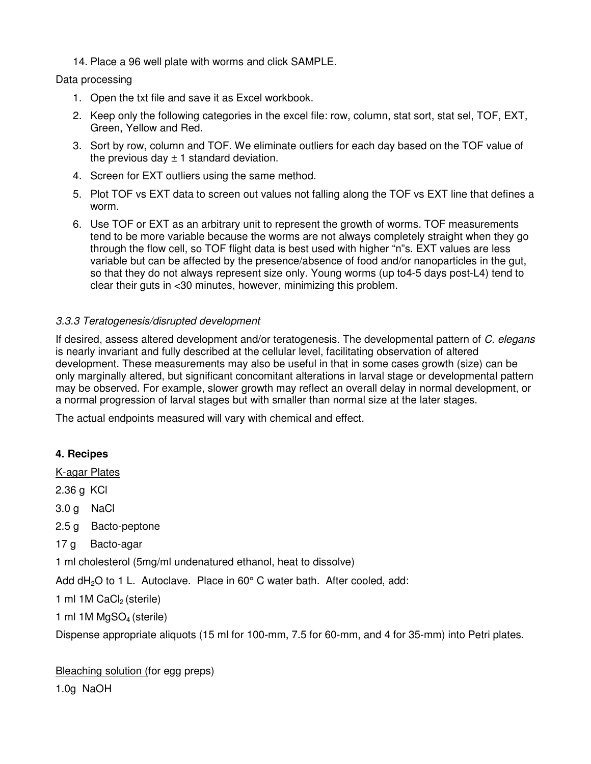14. Place a 96 well plate with worms and click SAMPLE.

## Data processing

- 1. Open the txt file and save it as Excel workbook.
- 2. Keep only the following categories in the excel file: row, column, stat sort, stat sel, TOF, EXT, Green, Yellow and Red.
- 3. Sort by row, column and TOF. We eliminate outliers for each day based on the TOF value of the previous day  $\pm$  1 standard deviation.
- 4. Screen for EXT outliers using the same method.
- 5. Plot TOF vs EXT data to screen out values not falling along the TOF vs EXT line that defines a worm.
- 6. Use TOF or EXT as an arbitrary unit to represent the growth of worms. TOF measurements tend to be more variable because the worms are not always completely straight when they go through the flow cell, so TOF flight data is best used with higher "n"s. EXT values are less variable but can be affected by the presence/absence of food and/or nanoparticles in the gut, so that they do not always represent size only. Young worms (up to4-5 days post-L4) tend to clear their guts in <30 minutes, however, minimizing this problem.

## 3.3.3 Teratogenesis/disrupted development

If desired, assess altered development and/or teratogenesis. The developmental pattern of C. elegans is nearly invariant and fully described at the cellular level, facilitating observation of altered development. These measurements may also be useful in that in some cases growth (size) can be only marginally altered, but significant concomitant alterations in larval stage or developmental pattern may be observed. For example, slower growth may reflect an overall delay in normal development, or a normal progression of larval stages but with smaller than normal size at the later stages.

The actual endpoints measured will vary with chemical and effect.

## **4. Recipes**

K-agar Plates

2.36 g KCl

3.0 g NaCl

- 2.5 g Bacto-peptone
- 17 g Bacto-agar

1 ml cholesterol (5mg/ml undenatured ethanol, heat to dissolve)

Add  $dH_2O$  to 1 L. Autoclave. Place in 60 $^{\circ}$  C water bath. After cooled, add:

1 ml  $1M$  CaCl<sub>2</sub> (sterile)

1 ml 1M MgSO<sub>4</sub> (sterile)

Dispense appropriate aliquots (15 ml for 100-mm, 7.5 for 60-mm, and 4 for 35-mm) into Petri plates.

Bleaching solution (for egg preps)

1.0g NaOH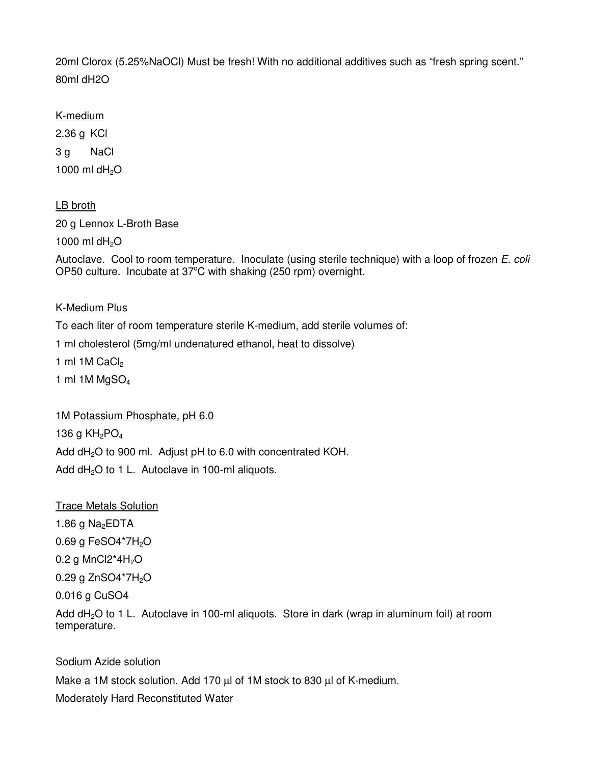20ml Clorox (5.25%NaOCl) Must be fresh! With no additional additives such as "fresh spring scent." 80ml dH2O

K-medium 2.36 g KCl 3 g NaCl 1000 ml  $dH<sub>2</sub>O$ 

LB broth 20 g Lennox L-Broth Base 1000 ml d $H_2O$ 

Autoclave. Cool to room temperature. Inoculate (using sterile technique) with a loop of frozen E. coli OP50 culture. Incubate at  $37^{\circ}$ C with shaking (250 rpm) overnight.

K-Medium Plus

To each liter of room temperature sterile K-medium, add sterile volumes of:

1 ml cholesterol (5mg/ml undenatured ethanol, heat to dissolve)

1 ml  $1M$  CaCl<sub>2</sub>

1 ml 1M  $MgSO<sub>4</sub>$ 

1M Potassium Phosphate, pH 6.0

136 g  $KH<sub>2</sub>PO<sub>4</sub>$ Add dH<sub>2</sub>O to 900 ml. Adjust pH to 6.0 with concentrated KOH. Add  $dH_2O$  to 1 L. Autoclave in 100-ml aliquots.

Trace Metals Solution 1.86 g  $Na<sub>2</sub>EDTA$ 0.69 g FeSO4\*7H<sub>2</sub>O 0.2 g MnCl $2*4H<sub>2</sub>O$ 0.29 g ZnSO4\*7H<sub>2</sub>O 0.016 g CuSO4 Add  $dH<sub>2</sub>O$  to 1 L. Autoclave in 100-ml aliquots. Store in dark (wrap in aluminum foil) at room

# temperature.

## Sodium Azide solution

Make a 1M stock solution. Add 170 µl of 1M stock to 830 µl of K-medium. Moderately Hard Reconstituted Water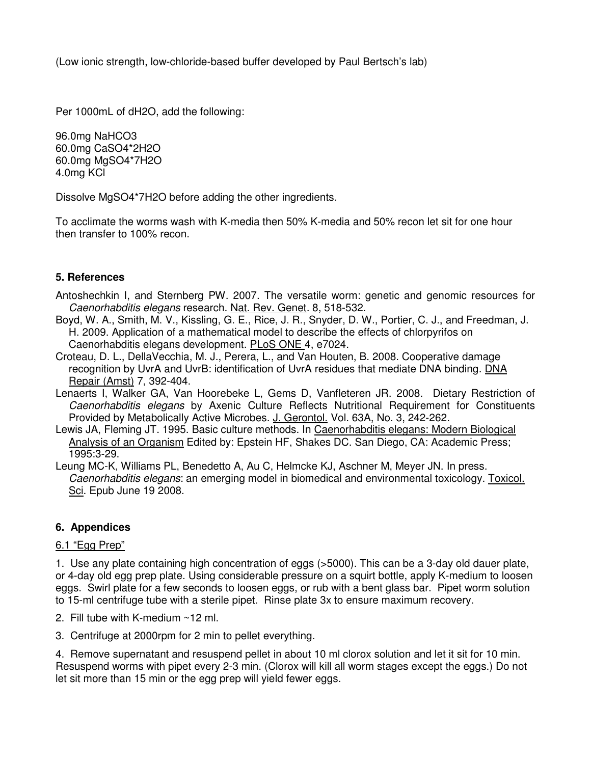(Low ionic strength, low-chloride-based buffer developed by Paul Bertsch's lab)

Per 1000mL of dH2O, add the following:

96.0mg NaHCO3 60.0mg CaSO4\*2H2O 60.0mg MgSO4\*7H2O 4.0mg KCl

Dissolve MgSO4\*7H2O before adding the other ingredients.

To acclimate the worms wash with K-media then 50% K-media and 50% recon let sit for one hour then transfer to 100% recon.

## **5. References**

- Antoshechkin I, and Sternberg PW. 2007. The versatile worm: genetic and genomic resources for Caenorhabditis elegans research. Nat. Rev. Genet. 8, 518-532.
- Boyd, W. A., Smith, M. V., Kissling, G. E., Rice, J. R., Snyder, D. W., Portier, C. J., and Freedman, J. H. 2009. Application of a mathematical model to describe the effects of chlorpyrifos on Caenorhabditis elegans development. PLoS ONE 4, e7024.
- Croteau, D. L., DellaVecchia, M. J., Perera, L., and Van Houten, B. 2008. Cooperative damage recognition by UvrA and UvrB: identification of UvrA residues that mediate DNA binding. DNA Repair (Amst) 7, 392-404.
- Lenaerts I, Walker GA, Van Hoorebeke L, Gems D, Vanfleteren JR. 2008. Dietary Restriction of Caenorhabditis elegans by Axenic Culture Reflects Nutritional Requirement for Constituents Provided by Metabolically Active Microbes. J. Gerontol. Vol. 63A, No. 3, 242-262.
- Lewis JA, Fleming JT. 1995. Basic culture methods. In Caenorhabditis elegans: Modern Biological Analysis of an Organism Edited by: Epstein HF, Shakes DC. San Diego, CA: Academic Press; 1995:3-29.
- Leung MC-K, Williams PL, Benedetto A, Au C, Helmcke KJ, Aschner M, Meyer JN. In press. Caenorhabditis elegans: an emerging model in biomedical and environmental toxicology. Toxicol. Sci. Epub June 19 2008.

## **6. Appendices**

### 6.1 "Egg Prep"

1. Use any plate containing high concentration of eggs (>5000). This can be a 3-day old dauer plate, or 4-day old egg prep plate. Using considerable pressure on a squirt bottle, apply K-medium to loosen eggs. Swirl plate for a few seconds to loosen eggs, or rub with a bent glass bar. Pipet worm solution to 15-ml centrifuge tube with a sterile pipet. Rinse plate 3x to ensure maximum recovery.

- 2. Fill tube with K-medium ~12 ml.
- 3. Centrifuge at 2000rpm for 2 min to pellet everything.

4. Remove supernatant and resuspend pellet in about 10 ml clorox solution and let it sit for 10 min. Resuspend worms with pipet every 2-3 min. (Clorox will kill all worm stages except the eggs.) Do not let sit more than 15 min or the egg prep will yield fewer eggs.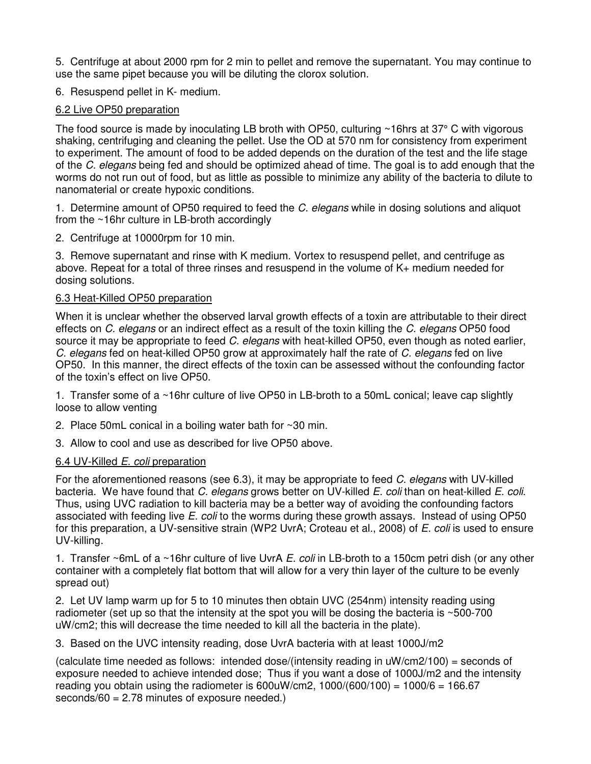5. Centrifuge at about 2000 rpm for 2 min to pellet and remove the supernatant. You may continue to use the same pipet because you will be diluting the clorox solution.

6. Resuspend pellet in K- medium.

## 6.2 Live OP50 preparation

The food source is made by inoculating LB broth with OP50, culturing ~16hrs at 37° C with vigorous shaking, centrifuging and cleaning the pellet. Use the OD at 570 nm for consistency from experiment to experiment. The amount of food to be added depends on the duration of the test and the life stage of the C. elegans being fed and should be optimized ahead of time. The goal is to add enough that the worms do not run out of food, but as little as possible to minimize any ability of the bacteria to dilute to nanomaterial or create hypoxic conditions.

1. Determine amount of OP50 required to feed the C. elegans while in dosing solutions and aliquot from the ~16hr culture in LB-broth accordingly

2. Centrifuge at 10000rpm for 10 min.

3. Remove supernatant and rinse with K medium. Vortex to resuspend pellet, and centrifuge as above. Repeat for a total of three rinses and resuspend in the volume of K+ medium needed for dosing solutions.

## 6.3 Heat-Killed OP50 preparation

When it is unclear whether the observed larval growth effects of a toxin are attributable to their direct effects on C. elegans or an indirect effect as a result of the toxin killing the C. elegans OP50 food source it may be appropriate to feed C, elegans with heat-killed OP50, even though as noted earlier, C. elegans fed on heat-killed OP50 grow at approximately half the rate of C. elegans fed on live OP50. In this manner, the direct effects of the toxin can be assessed without the confounding factor of the toxin's effect on live OP50.

1. Transfer some of a ~16hr culture of live OP50 in LB-broth to a 50mL conical; leave cap slightly loose to allow venting

2. Place 50mL conical in a boiling water bath for ~30 min.

3. Allow to cool and use as described for live OP50 above.

### 6.4 UV-Killed E. coli preparation

For the aforementioned reasons (see 6.3), it may be appropriate to feed C. elegans with UV-killed bacteria. We have found that C. elegans grows better on UV-killed E. coli than on heat-killed E. coli. Thus, using UVC radiation to kill bacteria may be a better way of avoiding the confounding factors associated with feeding live E. coli to the worms during these growth assays. Instead of using OP50 for this preparation, a UV-sensitive strain (WP2 UvrA; Croteau et al., 2008) of E. coli is used to ensure UV-killing.

1. Transfer ~6mL of a ~16hr culture of live UvrA  $E$ . coli in LB-broth to a 150cm petri dish (or any other container with a completely flat bottom that will allow for a very thin layer of the culture to be evenly spread out)

2. Let UV lamp warm up for 5 to 10 minutes then obtain UVC (254nm) intensity reading using radiometer (set up so that the intensity at the spot you will be dosing the bacteria is ~500-700 uW/cm2; this will decrease the time needed to kill all the bacteria in the plate).

3. Based on the UVC intensity reading, dose UvrA bacteria with at least 1000J/m2

(calculate time needed as follows: intended dose/(intensity reading in  $\mu W/cm^2/100$ ) = seconds of exposure needed to achieve intended dose; Thus if you want a dose of 1000J/m2 and the intensity reading you obtain using the radiometer is  $600$ uW/cm2,  $1000/(600/100) = 1000/6 = 166.67$ seconds/60 = 2.78 minutes of exposure needed.)